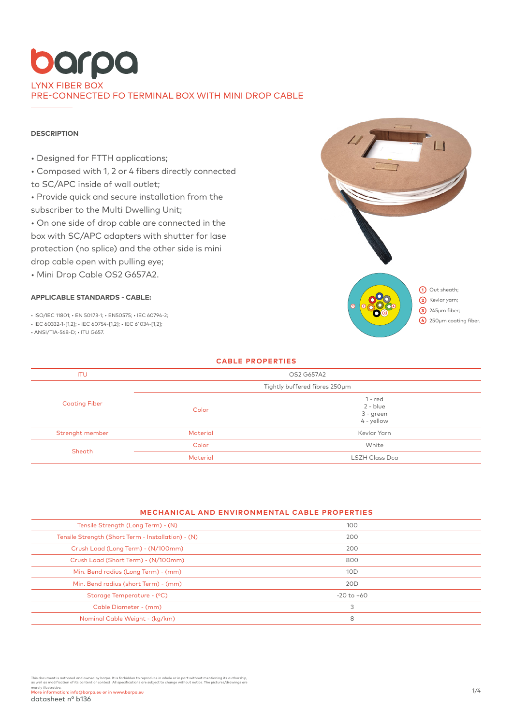### **DESCRIPTION**

- Designed for FTTH applications;
- Composed with 1, 2 or 4 fibers directly connected
- to SC/APC inside of wall outlet;
- Provide quick and secure installation from the
- subscriber to the Multi Dwelling Unit;

• On one side of drop cable are connected in the box with SC/APC adapters with shutter for lase protection (no splice) and the other side is mini drop cable open with pulling eye;

• Mini Drop Cable OS2 G657A2.

## **APPLICABLE STANDARDS - CABLE:**

• ISO/IEC 11801; • EN 50173-1; • EN50575; • IEC 60794-2;

• IEC 60332-1-[1,2]; • IEC 60754-[1,2]; • IEC 61034-[1,2];

• ANSI/TIA-568-D; • ITU G657.



| <b>CABLE PROPERTIES</b> |                               |                                                    |  |  |  |  |
|-------------------------|-------------------------------|----------------------------------------------------|--|--|--|--|
| <b>ITU</b>              | OS2 G657A2                    |                                                    |  |  |  |  |
|                         | Tightly buffered fibres 250um |                                                    |  |  |  |  |
| <b>Coating Fiber</b>    | Color                         | $1 - red$<br>$2 - blue$<br>3 - green<br>4 - yellow |  |  |  |  |
| Strenght member         | <b>Material</b>               | Kevlar Yarn                                        |  |  |  |  |
| Sheath                  | Color                         | White                                              |  |  |  |  |
|                         | <b>Material</b>               | <b>LSZH Class Dca</b>                              |  |  |  |  |

#### **MECHANICAL AND ENVIRONMENTAL CABLE PROPERTIES**

| Tensile Strength (Long Term) - (N)                 | 100            |  |
|----------------------------------------------------|----------------|--|
| Tensile Strength (Short Term - Installation) - (N) | 200            |  |
| Crush Load (Long Term) - (N/100mm)                 | 200            |  |
| Crush Load (Short Term) - (N/100mm)                | 800            |  |
| Min. Bend radius (Long Term) - (mm)                | 10D            |  |
| Min. Bend radius (short Term) - (mm)               | 20D            |  |
| Storage Temperature - (°C)                         | $-20$ to $+60$ |  |
| Cable Diameter - (mm)                              | 3              |  |
| Nominal Cable Weight - (kg/km)                     | 8              |  |
|                                                    |                |  |

This document is authored and owned by barpa. It is forbidden to reproduce in whole or in part without mentioning its authorship,<br>as well as modification of its content or context. All specifications are subject to change merely illustrative.<br>More information: info@barpa.eu or in www.barpa.eu 1/4 and the state of the state of the state of the state of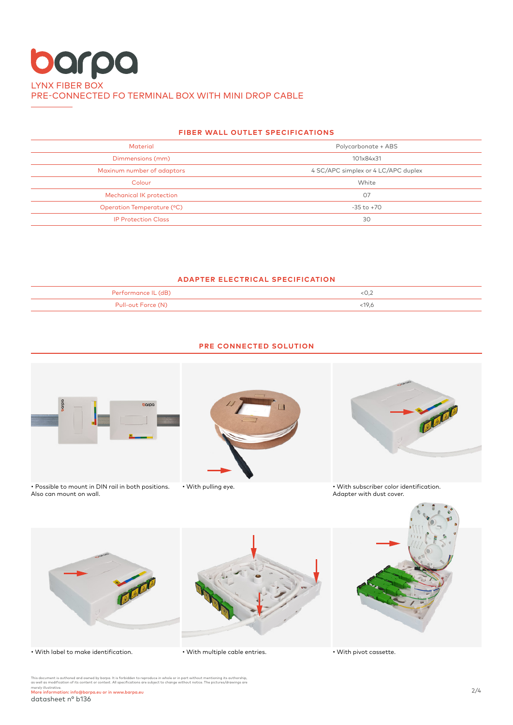## **FIBER WALL OUTLET SPECIFICATIONS**

| <b>Material</b>                 | Polycarbonate + ABS                 |  |  |  |
|---------------------------------|-------------------------------------|--|--|--|
| Dimmensions (mm)                | 101x84x31                           |  |  |  |
| Maxinum number of adaptors      | 4 SC/APC simplex or 4 LC/APC duplex |  |  |  |
| Colour                          | White                               |  |  |  |
| <b>Mechanical IK protection</b> | 07                                  |  |  |  |
| Operation Temperature (°C)      | $-35$ to $+70$                      |  |  |  |
| <b>IP Protection Class</b>      | 30                                  |  |  |  |

## **ADAPTER ELECTRICAL SPECIFICATION**

| AB                       |      |
|--------------------------|------|
| Pull-out F<br>-----<br>. | 19.6 |



## **PRE CONNECTED SOLUTION**

• With label to make identification.

• With multiple cable entries.

• With pivot cassette.

This document is authored and owned by barpa. It is forbidden to reproduce in whole or in part without mentioning its authorship,<br>as well as modification of its content or context. All specifications are subject to change merely illustrative. More information: info@barpa.eu or in www.barpa.eu 2/4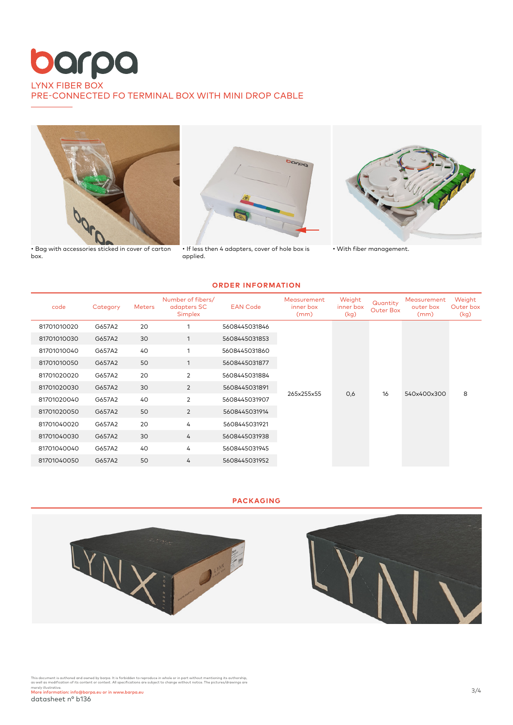

• Bag with accessories sticked in cover of carton box.



• If less then 4 adapters, cover of hole box is applied.



• With fiber management.

#### **ORDER INFORMATION**

| code        | Category | <b>Meters</b> | Number of fibers/<br>adapters SC<br><b>Simplex</b> | <b>EAN Code</b> | Measurement<br>inner box<br>(mm) | Weight<br>inner box<br>(kg) | Quantity<br>Outer Box | Measurement<br>outer box<br>(mm) | Weight<br>Outer box<br>(kg) |
|-------------|----------|---------------|----------------------------------------------------|-----------------|----------------------------------|-----------------------------|-----------------------|----------------------------------|-----------------------------|
| 81701010020 | G657A2   | 20            |                                                    | 5608445031846   | 265x255x55                       | 0,6                         | 16                    | 540x400x300                      | 8                           |
| 81701010030 | G657A2   | 30            |                                                    | 5608445031853   |                                  |                             |                       |                                  |                             |
| 81701010040 | G657A2   | 40            | 1                                                  | 5608445031860   |                                  |                             |                       |                                  |                             |
| 81701010050 | G657A2   | 50            |                                                    | 5608445031877   |                                  |                             |                       |                                  |                             |
| 81701020020 | G657A2   | 20            | $\overline{2}$                                     | 5608445031884   |                                  |                             |                       |                                  |                             |
| 81701020030 | G657A2   | 30            | $\overline{2}$                                     | 5608445031891   |                                  |                             |                       |                                  |                             |
| 81701020040 | G657A2   | 40            | 2                                                  | 5608445031907   |                                  |                             |                       |                                  |                             |
| 81701020050 | G657A2   | 50            | $\overline{2}$                                     | 5608445031914   |                                  |                             |                       |                                  |                             |
| 81701040020 | G657A2   | 20            | 4                                                  | 5608445031921   |                                  |                             |                       |                                  |                             |
| 81701040030 | G657A2   | 30            | 4                                                  | 5608445031938   |                                  |                             |                       |                                  |                             |
| 81701040040 | G657A2   | 40            | 4                                                  | 5608445031945   |                                  |                             |                       |                                  |                             |
| 81701040050 | G657A2   | 50            | 4                                                  | 5608445031952   |                                  |                             |                       |                                  |                             |

### **PACKAGING**



This document is authored and owned by barpa. It is forbidden to reproduce in whole or in part without mentioning its authorship,<br>as well as modification of its content or context. All specifications are subject to change merely illustrative. More information: info@barpa.eu or in www.barpa.eu 3/4